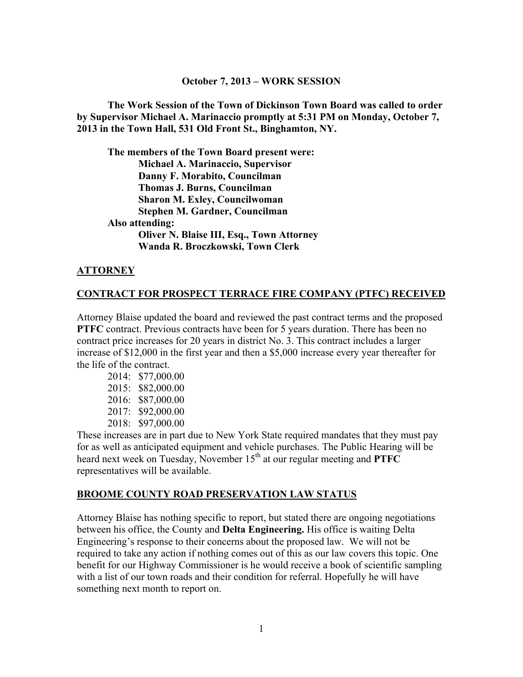#### **October 7, 2013 – WORK SESSION**

**The Work Session of the Town of Dickinson Town Board was called to order by Supervisor Michael A. Marinaccio promptly at 5:31 PM on Monday, October 7, 2013 in the Town Hall, 531 Old Front St., Binghamton, NY.** 

**The members of the Town Board present were: Michael A. Marinaccio, Supervisor Danny F. Morabito, Councilman Thomas J. Burns, Councilman Sharon M. Exley, Councilwoman Stephen M. Gardner, Councilman Also attending: Oliver N. Blaise III, Esq., Town Attorney Wanda R. Broczkowski, Town Clerk** 

### **ATTORNEY**

#### **CONTRACT FOR PROSPECT TERRACE FIRE COMPANY (PTFC) RECEIVED**

Attorney Blaise updated the board and reviewed the past contract terms and the proposed **PTFC** contract. Previous contracts have been for 5 years duration. There has been no contract price increases for 20 years in district No. 3. This contract includes a larger increase of \$12,000 in the first year and then a \$5,000 increase every year thereafter for the life of the contract.

| 2014: | \$77,000.00 |
|-------|-------------|
| 2015: | \$82,000.00 |
| 2016: | \$87,000.00 |
| 2017: | \$92,000.00 |
| 2018  | \$97,000.00 |

These increases are in part due to New York State required mandates that they must pay for as well as anticipated equipment and vehicle purchases. The Public Hearing will be heard next week on Tuesday, November  $15<sup>th</sup>$  at our regular meeting and **PTFC** representatives will be available.

#### **BROOME COUNTY ROAD PRESERVATION LAW STATUS**

Attorney Blaise has nothing specific to report, but stated there are ongoing negotiations between his office, the County and **Delta Engineering.** His office is waiting Delta Engineering's response to their concerns about the proposed law. We will not be required to take any action if nothing comes out of this as our law covers this topic. One benefit for our Highway Commissioner is he would receive a book of scientific sampling with a list of our town roads and their condition for referral. Hopefully he will have something next month to report on.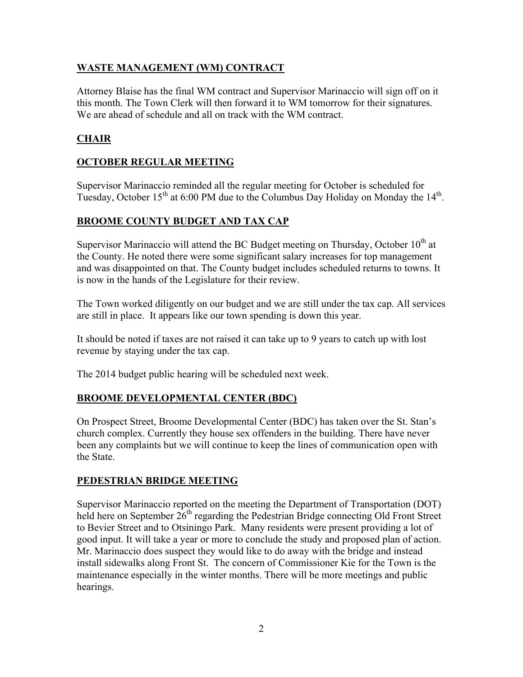## **WASTE MANAGEMENT (WM) CONTRACT**

Attorney Blaise has the final WM contract and Supervisor Marinaccio will sign off on it this month. The Town Clerk will then forward it to WM tomorrow for their signatures. We are ahead of schedule and all on track with the WM contract.

## **CHAIR**

## **OCTOBER REGULAR MEETING**

Supervisor Marinaccio reminded all the regular meeting for October is scheduled for Tuesday, October  $15<sup>th</sup>$  at 6:00 PM due to the Columbus Day Holiday on Monday the  $14<sup>th</sup>$ .

## **BROOME COUNTY BUDGET AND TAX CAP**

Supervisor Marinaccio will attend the BC Budget meeting on Thursday, October  $10<sup>th</sup>$  at the County. He noted there were some significant salary increases for top management and was disappointed on that. The County budget includes scheduled returns to towns. It is now in the hands of the Legislature for their review.

The Town worked diligently on our budget and we are still under the tax cap. All services are still in place. It appears like our town spending is down this year.

It should be noted if taxes are not raised it can take up to 9 years to catch up with lost revenue by staying under the tax cap.

The 2014 budget public hearing will be scheduled next week.

# **BROOME DEVELOPMENTAL CENTER (BDC)**

On Prospect Street, Broome Developmental Center (BDC) has taken over the St. Stan's church complex. Currently they house sex offenders in the building. There have never been any complaints but we will continue to keep the lines of communication open with the State.

## **PEDESTRIAN BRIDGE MEETING**

Supervisor Marinaccio reported on the meeting the Department of Transportation (DOT) held here on September  $26<sup>th</sup>$  regarding the Pedestrian Bridge connecting Old Front Street to Bevier Street and to Otsiningo Park. Many residents were present providing a lot of good input. It will take a year or more to conclude the study and proposed plan of action. Mr. Marinaccio does suspect they would like to do away with the bridge and instead install sidewalks along Front St. The concern of Commissioner Kie for the Town is the maintenance especially in the winter months. There will be more meetings and public hearings.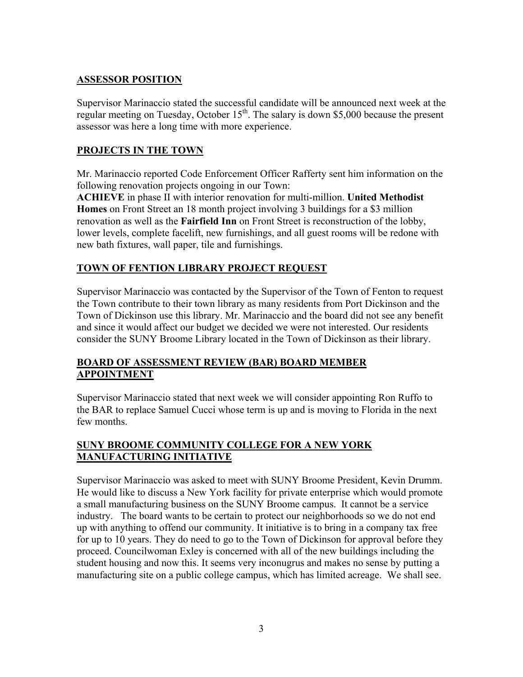## **ASSESSOR POSITION**

Supervisor Marinaccio stated the successful candidate will be announced next week at the regular meeting on Tuesday, October  $15<sup>th</sup>$ . The salary is down \$5,000 because the present assessor was here a long time with more experience.

## **PROJECTS IN THE TOWN**

Mr. Marinaccio reported Code Enforcement Officer Rafferty sent him information on the following renovation projects ongoing in our Town:

**ACHIEVE** in phase II with interior renovation for multi-million. **United Methodist Homes** on Front Street an 18 month project involving 3 buildings for a \$3 million renovation as well as the **Fairfield Inn** on Front Street is reconstruction of the lobby, lower levels, complete facelift, new furnishings, and all guest rooms will be redone with new bath fixtures, wall paper, tile and furnishings.

## **TOWN OF FENTION LIBRARY PROJECT REQUEST**

Supervisor Marinaccio was contacted by the Supervisor of the Town of Fenton to request the Town contribute to their town library as many residents from Port Dickinson and the Town of Dickinson use this library. Mr. Marinaccio and the board did not see any benefit and since it would affect our budget we decided we were not interested. Our residents consider the SUNY Broome Library located in the Town of Dickinson as their library.

## **BOARD OF ASSESSMENT REVIEW (BAR) BOARD MEMBER APPOINTMENT**

Supervisor Marinaccio stated that next week we will consider appointing Ron Ruffo to the BAR to replace Samuel Cucci whose term is up and is moving to Florida in the next few months.

## **SUNY BROOME COMMUNITY COLLEGE FOR A NEW YORK MANUFACTURING INITIATIVE**

Supervisor Marinaccio was asked to meet with SUNY Broome President, Kevin Drumm. He would like to discuss a New York facility for private enterprise which would promote a small manufacturing business on the SUNY Broome campus. It cannot be a service industry. The board wants to be certain to protect our neighborhoods so we do not end up with anything to offend our community. It initiative is to bring in a company tax free for up to 10 years. They do need to go to the Town of Dickinson for approval before they proceed. Councilwoman Exley is concerned with all of the new buildings including the student housing and now this. It seems very inconugrus and makes no sense by putting a manufacturing site on a public college campus, which has limited acreage. We shall see.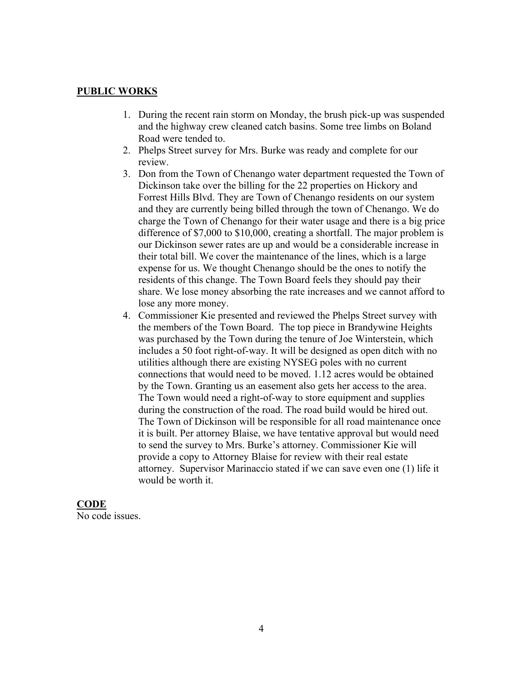### **PUBLIC WORKS**

- 1. During the recent rain storm on Monday, the brush pick-up was suspended and the highway crew cleaned catch basins. Some tree limbs on Boland Road were tended to.
- 2. Phelps Street survey for Mrs. Burke was ready and complete for our review.
- 3. Don from the Town of Chenango water department requested the Town of Dickinson take over the billing for the 22 properties on Hickory and Forrest Hills Blvd. They are Town of Chenango residents on our system and they are currently being billed through the town of Chenango. We do charge the Town of Chenango for their water usage and there is a big price difference of \$7,000 to \$10,000, creating a shortfall. The major problem is our Dickinson sewer rates are up and would be a considerable increase in their total bill. We cover the maintenance of the lines, which is a large expense for us. We thought Chenango should be the ones to notify the residents of this change. The Town Board feels they should pay their share. We lose money absorbing the rate increases and we cannot afford to lose any more money.
- 4. Commissioner Kie presented and reviewed the Phelps Street survey with the members of the Town Board. The top piece in Brandywine Heights was purchased by the Town during the tenure of Joe Winterstein, which includes a 50 foot right-of-way. It will be designed as open ditch with no utilities although there are existing NYSEG poles with no current connections that would need to be moved. 1.12 acres would be obtained by the Town. Granting us an easement also gets her access to the area. The Town would need a right-of-way to store equipment and supplies during the construction of the road. The road build would be hired out. The Town of Dickinson will be responsible for all road maintenance once it is built. Per attorney Blaise, we have tentative approval but would need to send the survey to Mrs. Burke's attorney. Commissioner Kie will provide a copy to Attorney Blaise for review with their real estate attorney. Supervisor Marinaccio stated if we can save even one (1) life it would be worth it.

### **CODE**

No code issues.